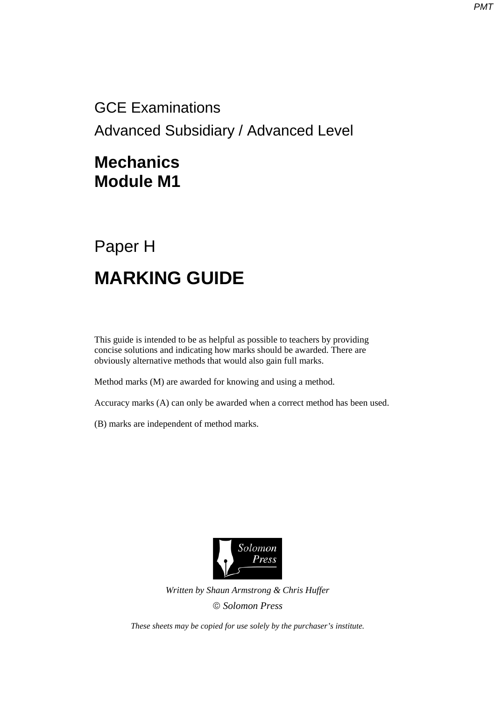GCE Examinations Advanced Subsidiary / Advanced Level

## **Mechanics Module M1**

## Paper H **MARKING GUIDE**

This guide is intended to be as helpful as possible to teachers by providing concise solutions and indicating how marks should be awarded. There are obviously alternative methods that would also gain full marks.

Method marks (M) are awarded for knowing and using a method.

Accuracy marks (A) can only be awarded when a correct method has been used.

(B) marks are independent of method marks.



*Written by Shaun Armstrong & Chris Huffer Solomon Press* 

*These sheets may be copied for use solely by the purchaser's institute.*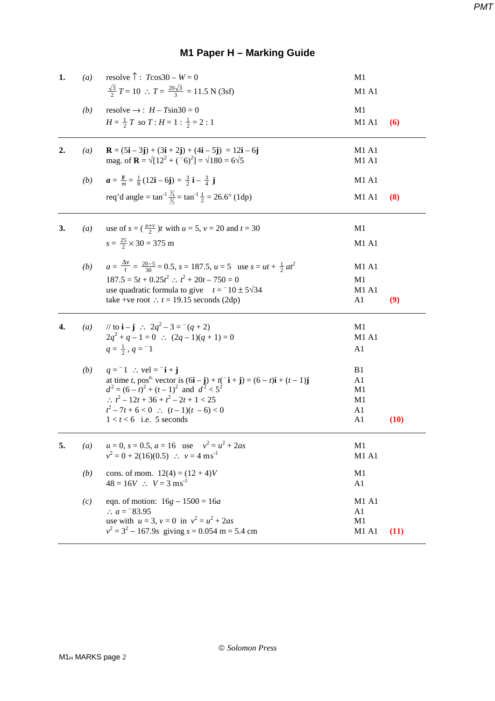## **M1 Paper H – Marking Guide**

| 1. | (a)              | resolve $\hat{T}$ : $T\cos 30 - W = 0$                                                                                                                                                            | M1             |      |
|----|------------------|---------------------------------------------------------------------------------------------------------------------------------------------------------------------------------------------------|----------------|------|
|    |                  | $\frac{\sqrt{3}}{2}$ T = 10 : $T = \frac{20\sqrt{3}}{3} = 11.5$ N (3sf)                                                                                                                           | M1 A1          |      |
|    | (b)              | resolve $\rightarrow$ : $H - T\sin 30 = 0$                                                                                                                                                        | M1             |      |
|    |                  | $H = \frac{1}{2} T$ so $T : H = 1 : \frac{1}{2} = 2 : 1$                                                                                                                                          | M1 A1          | (6)  |
| 2. | (a)              | $\mathbf{R} = (5\mathbf{i} - 3\mathbf{j}) + (3\mathbf{i} + 2\mathbf{j}) + (4\mathbf{i} - 5\mathbf{j}) = 12\mathbf{i} - 6\mathbf{j}$                                                               | M1 A1          |      |
|    |                  | mag. of $\mathbf{R} = \sqrt{12^2 + (-6)^2} = \sqrt{180} = 6\sqrt{5}$                                                                                                                              | M1 A1          |      |
|    | (b)              | $a = \frac{F}{m} = \frac{1}{8}(12i - 6j) = \frac{3}{2}i - \frac{3}{4}j$                                                                                                                           | M1 A1          |      |
|    |                  | req'd angle = $\tan^{-1} \frac{\lambda_4}{\lambda_2} = \tan^{-1} \frac{1}{2} = 26.6^{\circ}$ (1dp)                                                                                                | M1 A1          | (8)  |
| 3. | $\left(a\right)$ | use of $s = (\frac{u+v}{2})t$ with $u = 5$ , $v = 20$ and $t = 30$                                                                                                                                | M1             |      |
|    |                  | $s = \frac{25}{2} \times 30 = 375$ m                                                                                                                                                              | M1 A1          |      |
|    | (b)              | $a = \frac{\Delta v}{t} = \frac{20-5}{30} = 0.5$ , $s = 187.5$ , $u = 5$ use $s = ut + \frac{1}{2}at^2$                                                                                           | M1 A1          |      |
|    |                  | $187.5 = 5t + 0.25t^2$ ; $t^2 + 20t - 750 = 0$                                                                                                                                                    | M <sub>1</sub> |      |
|    |                  | use quadratic formula to give $t = -10 \pm 5\sqrt{34}$                                                                                                                                            | M1 A1          |      |
|    |                  | take +ve root : $t = 19.15$ seconds (2dp)                                                                                                                                                         | A1             | (9)  |
| 4. | (a)              | // to $\mathbf{i} - \mathbf{j}$ : $2q^2 - 3 = (q + 2)$                                                                                                                                            | M1             |      |
|    |                  | $2q^2 + q - 1 = 0$ : $(2q - 1)(q + 1) = 0$                                                                                                                                                        | M1 A1          |      |
|    |                  | $q=\frac{1}{2}$ , $q=-1$                                                                                                                                                                          | A <sub>1</sub> |      |
|    | (b)              | $q = -1$ : vel = $-i + j$                                                                                                                                                                         | B1             |      |
|    |                  | at time <i>t</i> , pos <sup>n</sup> vector is $(6\mathbf{i} - \mathbf{j}) + t(-\mathbf{i} + \mathbf{j}) = (6 - t)\mathbf{i} + (t - 1)\mathbf{j}$<br>$d^2 = (6 - t)^2 + (t - 1)^2$ and $d^2 < 5^2$ | A1             |      |
|    |                  | $\therefore t^2 - 12t + 36 + t^2 - 2t + 1 < 25$                                                                                                                                                   | M1             |      |
|    |                  | $t^2-7t+6<0$ : $(t-1)(t-6)<0$                                                                                                                                                                     | M1<br>A1       |      |
|    |                  | $1 < t < 6$ i.e. 5 seconds                                                                                                                                                                        | A1             | (10) |
| 5. | $\left(a\right)$ | $u = 0$ , $s = 0.5$ , $a = 16$ use $v^2 = u^2 + 2as$                                                                                                                                              | M1             |      |
|    |                  | $v^2 = 0 + 2(16)(0.5)$ : $v = 4 \text{ ms}^{-1}$                                                                                                                                                  | M1 A1          |      |
|    | (b)              | cons. of mom. $12(4) = (12 + 4)V$                                                                                                                                                                 | M1             |      |
|    |                  | $48 = 16V$ : $V = 3 \text{ ms}^{-1}$                                                                                                                                                              | A1             |      |
|    | (c)              | eqn. of motion: $16g - 1500 = 16a$                                                                                                                                                                | M1 A1          |      |
|    |                  | :. $a = 83.95$                                                                                                                                                                                    | A1             |      |
|    |                  | use with $u = 3$ , $v = 0$ in $v^2 = u^2 + 2as$<br>$v^2 = 3^2 - 167.9s$ giving $s = 0.054$ m = 5.4 cm                                                                                             | M1<br>M1 A1    | (11) |
|    |                  |                                                                                                                                                                                                   |                |      |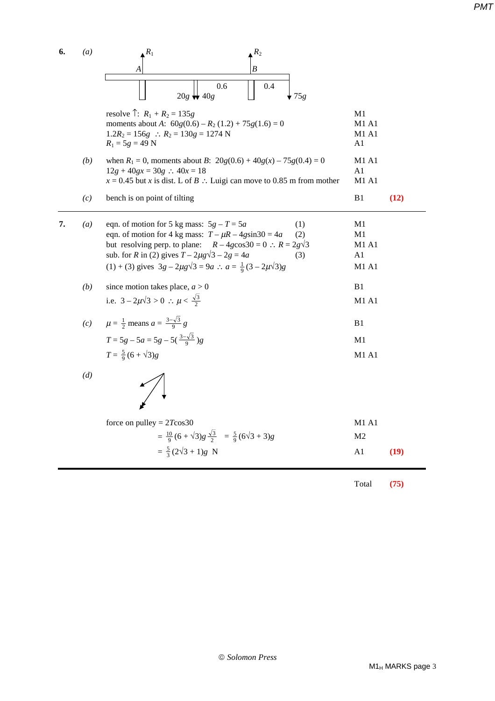**6.** *(a)*  $\mathbb{R}^R$  *R*<sub>1</sub> *R***<sub>2</sub>** *A B*  $\begin{array}{|c|c|c|c|c|c|c|c|} \hline \text{O.6} & \text{O.6} & \text{O.4} \hline \end{array}$  $\Box$  20*g*  $\bigcup$  20*g*  $\bigcup$   $\bigcup$   $\bigcup$   $\bigcup$  75*g* resolve  $\hat{P}$ :  $R_1 + R_2 = 135g$  M1<br>moments about A:  $60g(0.6) - R_2(1.2) + 75g(1.6) = 0$  M1 A1 moments about *A*:  $60g(0.6) - R_2(1.2) + 75g(1.6) = 0$ 1.2 $R_2$  = 156*g* ∴  $R_2$  = 130*g* = 1274 N M1 A1<br> $R_1$  = 5*g* = 49 N A1 *PMT*

*(b)* when  $R_1 = 0$ , moments about *B*:  $20g(0.6) + 40g(x) - 75g(0.4) = 0$  M1 A1  $12g + 40gx = 30g$  ∴  $40x = 18$  A1  $x = 0.45$  but *x* is dist. L of *B* ∴ Luigi can move to 0.85 m from mother M1 A1

| $(c)$ bench is on point of tilting |  | B1 (12) |
|------------------------------------|--|---------|
|------------------------------------|--|---------|

 $R_1 = 5g = 49$  N

| $\left(a\right)$ | eqn. of motion for 5 kg mass: $5g - T = 5a$<br>eqn. of motion for 4 kg mass: $T - \mu R - 4g\sin 30 = 4a$<br>but resolving perp. to plane: $R - 4g\cos 30 = 0$ : $R = 2g\sqrt{3}$ | (1)<br>(2) | M1<br>M1<br>$M1$ A <sub>1</sub> |
|------------------|-----------------------------------------------------------------------------------------------------------------------------------------------------------------------------------|------------|---------------------------------|
|                  | sub. for R in (2) gives $T - 2\mu g\sqrt{3} - 2g = 4a$<br>(1) + (3) gives $3g - 2\mu g\sqrt{3} = 9a$ : $a = \frac{1}{9}(3 - 2\mu\sqrt{3})g$                                       | (3)        | A1<br>M1A1                      |

- *(b)* since motion takes place,  $a > 0$  B1 i.e.  $3 - 2\mu\sqrt{3} > 0$  ∴  $\mu < \frac{\sqrt{3}}{2}$ **M1 A1**
- *(c)*  $\mu = \frac{1}{2}$  means  $a = \frac{3-\sqrt{3}}{9}$  $g \qquad \qquad \text{B1}$  $T = 5g - 5a = 5g - 5(\frac{3-\sqrt{3}}{9})g$  M1  $T = \frac{5}{9}(6 + \sqrt{3})g$  M1 A1

*(d)* 

| force on pulley = $2T\cos 30$                                            | $M1$ A <sub>1</sub> |      |  |
|--------------------------------------------------------------------------|---------------------|------|--|
| $=\frac{10}{9}(6+\sqrt{3})g\frac{\sqrt{3}}{2}=\frac{5}{9}(6\sqrt{3}+3)g$ | M2                  |      |  |
| $=\frac{5}{3}(2\sqrt{3}+1)g \text{ N}$                                   | A1                  | (19) |  |

Total **(75)**